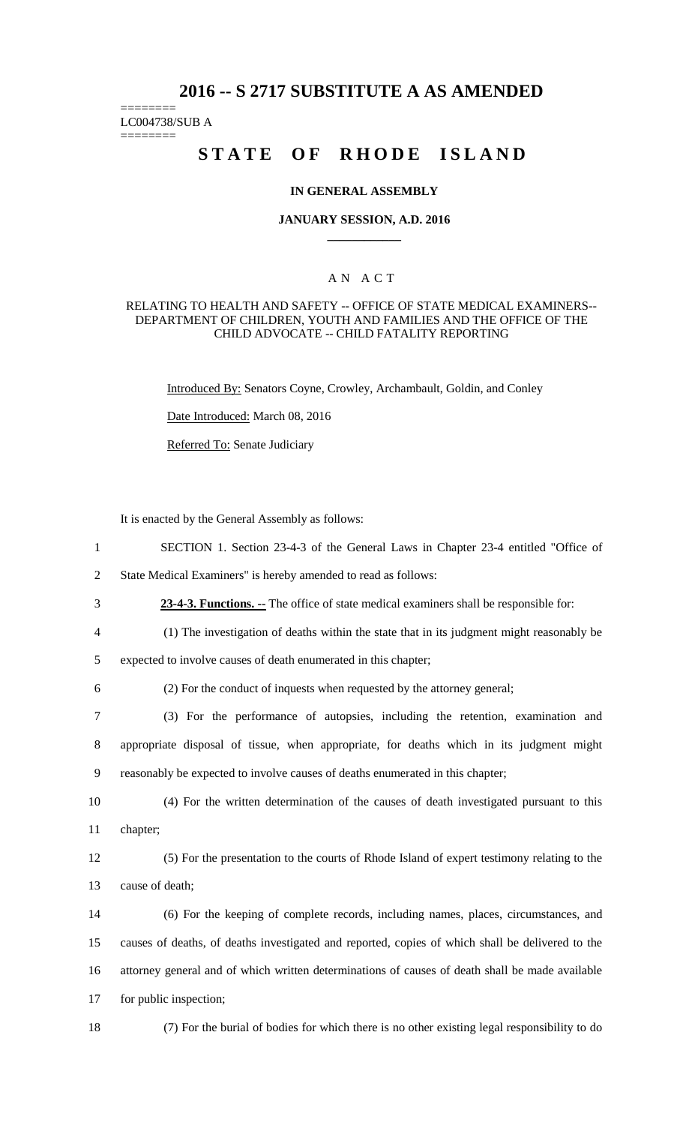# **2016 -- S 2717 SUBSTITUTE A AS AMENDED**

LC004738/SUB A

========

========

# **STATE OF RHODE ISLAND**

#### **IN GENERAL ASSEMBLY**

#### **JANUARY SESSION, A.D. 2016 \_\_\_\_\_\_\_\_\_\_\_\_**

## A N A C T

#### RELATING TO HEALTH AND SAFETY -- OFFICE OF STATE MEDICAL EXAMINERS-- DEPARTMENT OF CHILDREN, YOUTH AND FAMILIES AND THE OFFICE OF THE CHILD ADVOCATE -- CHILD FATALITY REPORTING

Introduced By: Senators Coyne, Crowley, Archambault, Goldin, and Conley

Date Introduced: March 08, 2016

Referred To: Senate Judiciary

It is enacted by the General Assembly as follows:

1 SECTION 1. Section 23-4-3 of the General Laws in Chapter 23-4 entitled "Office of

2 State Medical Examiners" is hereby amended to read as follows:

- 3 **23-4-3. Functions. --** The office of state medical examiners shall be responsible for:
- 4 (1) The investigation of deaths within the state that in its judgment might reasonably be

5 expected to involve causes of death enumerated in this chapter;

6 (2) For the conduct of inquests when requested by the attorney general;

7 (3) For the performance of autopsies, including the retention, examination and 8 appropriate disposal of tissue, when appropriate, for deaths which in its judgment might 9 reasonably be expected to involve causes of deaths enumerated in this chapter;

10 (4) For the written determination of the causes of death investigated pursuant to this 11 chapter;

12 (5) For the presentation to the courts of Rhode Island of expert testimony relating to the 13 cause of death;

 (6) For the keeping of complete records, including names, places, circumstances, and causes of deaths, of deaths investigated and reported, copies of which shall be delivered to the attorney general and of which written determinations of causes of death shall be made available for public inspection;

18 (7) For the burial of bodies for which there is no other existing legal responsibility to do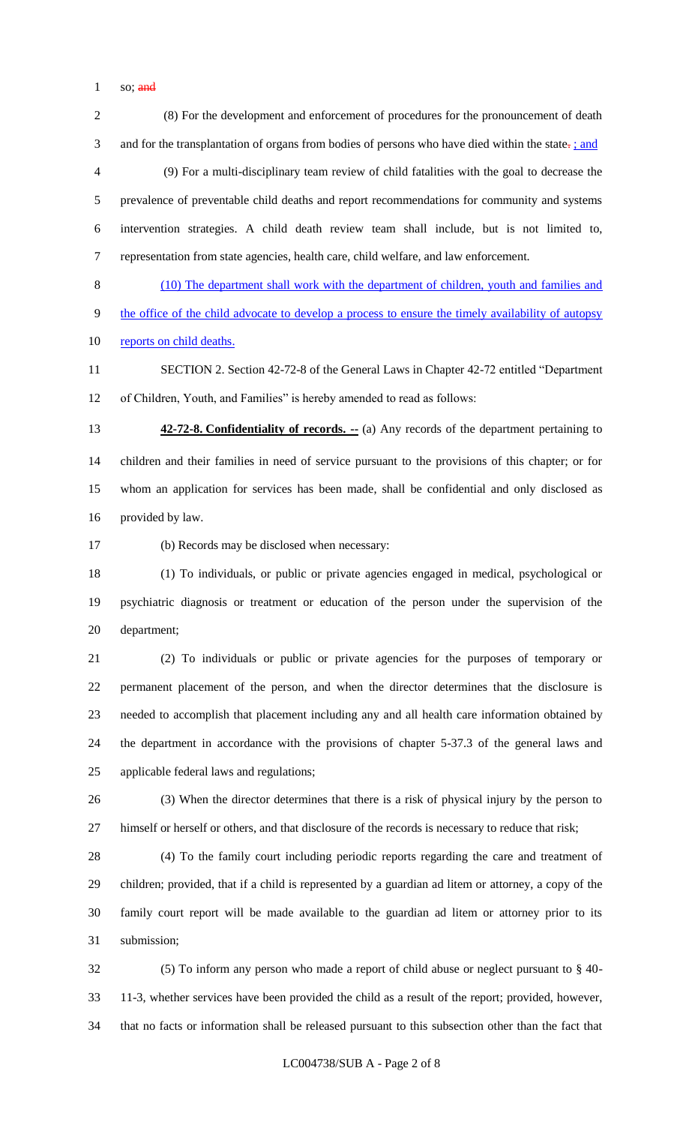$1 \quad so: \frac{\text{and}}{\text{and}}$ 

 (8) For the development and enforcement of procedures for the pronouncement of death 3 and for the transplantation of organs from bodies of persons who have died within the state-: *s* and (9) For a multi-disciplinary team review of child fatalities with the goal to decrease the prevalence of preventable child deaths and report recommendations for community and systems intervention strategies. A child death review team shall include, but is not limited to, representation from state agencies, health care, child welfare, and law enforcement.

 (10) The department shall work with the department of children, youth and families and the office of the child advocate to develop a process to ensure the timely availability of autopsy 10 reports on child deaths.

 SECTION 2. Section 42-72-8 of the General Laws in Chapter 42-72 entitled "Department of Children, Youth, and Families" is hereby amended to read as follows:

**42-72-8. Confidentiality of records.** -- (a) Any records of the department pertaining to children and their families in need of service pursuant to the provisions of this chapter; or for whom an application for services has been made, shall be confidential and only disclosed as provided by law.

(b) Records may be disclosed when necessary:

 (1) To individuals, or public or private agencies engaged in medical, psychological or psychiatric diagnosis or treatment or education of the person under the supervision of the department;

 (2) To individuals or public or private agencies for the purposes of temporary or permanent placement of the person, and when the director determines that the disclosure is needed to accomplish that placement including any and all health care information obtained by the department in accordance with the provisions of chapter 5-37.3 of the general laws and applicable federal laws and regulations;

 (3) When the director determines that there is a risk of physical injury by the person to himself or herself or others, and that disclosure of the records is necessary to reduce that risk;

 (4) To the family court including periodic reports regarding the care and treatment of children; provided, that if a child is represented by a guardian ad litem or attorney, a copy of the family court report will be made available to the guardian ad litem or attorney prior to its submission;

 (5) To inform any person who made a report of child abuse or neglect pursuant to § 40- 11-3, whether services have been provided the child as a result of the report; provided, however, that no facts or information shall be released pursuant to this subsection other than the fact that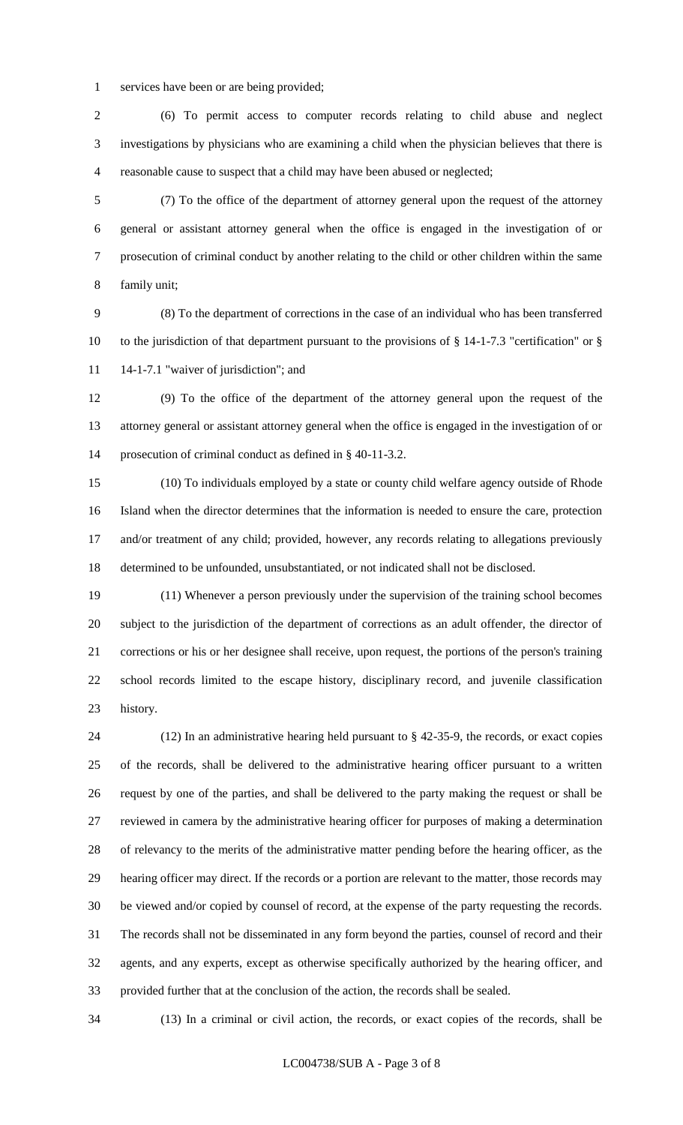services have been or are being provided;

 (6) To permit access to computer records relating to child abuse and neglect investigations by physicians who are examining a child when the physician believes that there is reasonable cause to suspect that a child may have been abused or neglected;

 (7) To the office of the department of attorney general upon the request of the attorney general or assistant attorney general when the office is engaged in the investigation of or prosecution of criminal conduct by another relating to the child or other children within the same family unit;

 (8) To the department of corrections in the case of an individual who has been transferred 10 to the jurisdiction of that department pursuant to the provisions of § 14-1-7.3 "certification" or § 11 14-1-7.1 "waiver of jurisdiction"; and

 (9) To the office of the department of the attorney general upon the request of the attorney general or assistant attorney general when the office is engaged in the investigation of or prosecution of criminal conduct as defined in § 40-11-3.2.

 (10) To individuals employed by a state or county child welfare agency outside of Rhode Island when the director determines that the information is needed to ensure the care, protection and/or treatment of any child; provided, however, any records relating to allegations previously determined to be unfounded, unsubstantiated, or not indicated shall not be disclosed.

 (11) Whenever a person previously under the supervision of the training school becomes subject to the jurisdiction of the department of corrections as an adult offender, the director of corrections or his or her designee shall receive, upon request, the portions of the person's training school records limited to the escape history, disciplinary record, and juvenile classification history.

 (12) In an administrative hearing held pursuant to § 42-35-9, the records, or exact copies of the records, shall be delivered to the administrative hearing officer pursuant to a written request by one of the parties, and shall be delivered to the party making the request or shall be reviewed in camera by the administrative hearing officer for purposes of making a determination of relevancy to the merits of the administrative matter pending before the hearing officer, as the hearing officer may direct. If the records or a portion are relevant to the matter, those records may be viewed and/or copied by counsel of record, at the expense of the party requesting the records. The records shall not be disseminated in any form beyond the parties, counsel of record and their agents, and any experts, except as otherwise specifically authorized by the hearing officer, and provided further that at the conclusion of the action, the records shall be sealed.

(13) In a criminal or civil action, the records, or exact copies of the records, shall be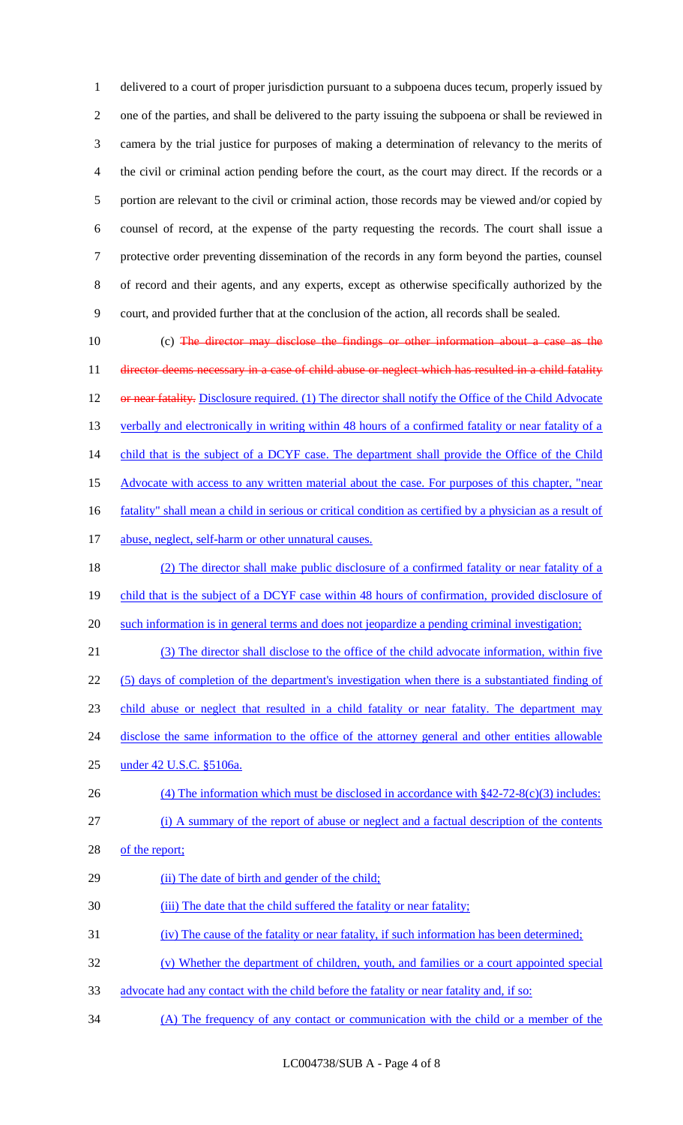delivered to a court of proper jurisdiction pursuant to a subpoena duces tecum, properly issued by one of the parties, and shall be delivered to the party issuing the subpoena or shall be reviewed in camera by the trial justice for purposes of making a determination of relevancy to the merits of the civil or criminal action pending before the court, as the court may direct. If the records or a portion are relevant to the civil or criminal action, those records may be viewed and/or copied by counsel of record, at the expense of the party requesting the records. The court shall issue a protective order preventing dissemination of the records in any form beyond the parties, counsel of record and their agents, and any experts, except as otherwise specifically authorized by the court, and provided further that at the conclusion of the action, all records shall be sealed.

10 (c) The director may disclose the findings or other information about a case as the 11 director deems necessary in a case of child abuse or neglect which has resulted in a child fatality 12 or near fatality. Disclosure required. (1) The director shall notify the Office of the Child Advocate 13 verbally and electronically in writing within 48 hours of a confirmed fatality or near fatality of a 14 child that is the subject of a DCYF case. The department shall provide the Office of the Child 15 Advocate with access to any written material about the case. For purposes of this chapter, "near 16 fatality" shall mean a child in serious or critical condition as certified by a physician as a result of 17 abuse, neglect, self-harm or other unnatural causes.

18 (2) The director shall make public disclosure of a confirmed fatality or near fatality of a 19 child that is the subject of a DCYF case within 48 hours of confirmation, provided disclosure of 20 such information is in general terms and does not jeopardize a pending criminal investigation;

 (3) The director shall disclose to the office of the child advocate information, within five (5) days of completion of the department's investigation when there is a substantiated finding of child abuse or neglect that resulted in a child fatality or near fatality. The department may 24 disclose the same information to the office of the attorney general and other entities allowable

25 under 42 U.S.C. §5106a.

- 26 (4) The information which must be disclosed in accordance with §42-72-8(c)(3) includes:
- 27 (i) A summary of the report of abuse or neglect and a factual description of the contents
- 28 of the report;
- 29 (ii) The date of birth and gender of the child;
- 30 (iii) The date that the child suffered the fatality or near fatality;
- 31 (iv) The cause of the fatality or near fatality, if such information has been determined;
- 32 (v) Whether the department of children, youth, and families or a court appointed special
- 33 advocate had any contact with the child before the fatality or near fatality and, if so:
- 34 (A) The frequency of any contact or communication with the child or a member of the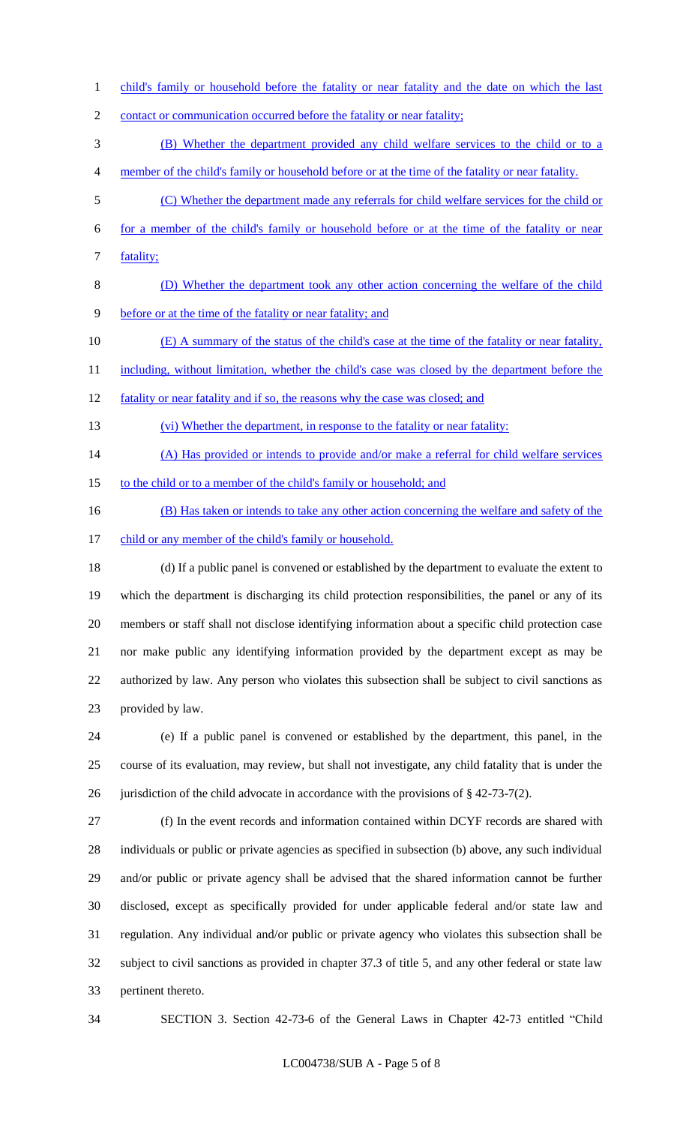1 child's family or household before the fatality or near fatality and the date on which the last

2 contact or communication occurred before the fatality or near fatality;

(B) Whether the department provided any child welfare services to the child or to a

- member of the child's family or household before or at the time of the fatality or near fatality.
- (C) Whether the department made any referrals for child welfare services for the child or
- for a member of the child's family or household before or at the time of the fatality or near fatality;
- (D) Whether the department took any other action concerning the welfare of the child before or at the time of the fatality or near fatality; and
- (E) A summary of the status of the child's case at the time of the fatality or near fatality,
- 11 including, without limitation, whether the child's case was closed by the department before the
- 12 fatality or near fatality and if so, the reasons why the case was closed; and
- (vi) Whether the department, in response to the fatality or near fatality:
- 14 (A) Has provided or intends to provide and/or make a referral for child welfare services
- 15 to the child or to a member of the child's family or household; and
- 16 (B) Has taken or intends to take any other action concerning the welfare and safety of the
- 17 child or any member of the child's family or household.

 (d) If a public panel is convened or established by the department to evaluate the extent to which the department is discharging its child protection responsibilities, the panel or any of its members or staff shall not disclose identifying information about a specific child protection case nor make public any identifying information provided by the department except as may be authorized by law. Any person who violates this subsection shall be subject to civil sanctions as provided by law.

 (e) If a public panel is convened or established by the department, this panel, in the course of its evaluation, may review, but shall not investigate, any child fatality that is under the 26 jurisdiction of the child advocate in accordance with the provisions of  $\S$  42-73-7(2).

 (f) In the event records and information contained within DCYF records are shared with individuals or public or private agencies as specified in subsection (b) above, any such individual and/or public or private agency shall be advised that the shared information cannot be further disclosed, except as specifically provided for under applicable federal and/or state law and regulation. Any individual and/or public or private agency who violates this subsection shall be subject to civil sanctions as provided in chapter 37.3 of title 5, and any other federal or state law pertinent thereto.

SECTION 3. Section 42-73-6 of the General Laws in Chapter 42-73 entitled "Child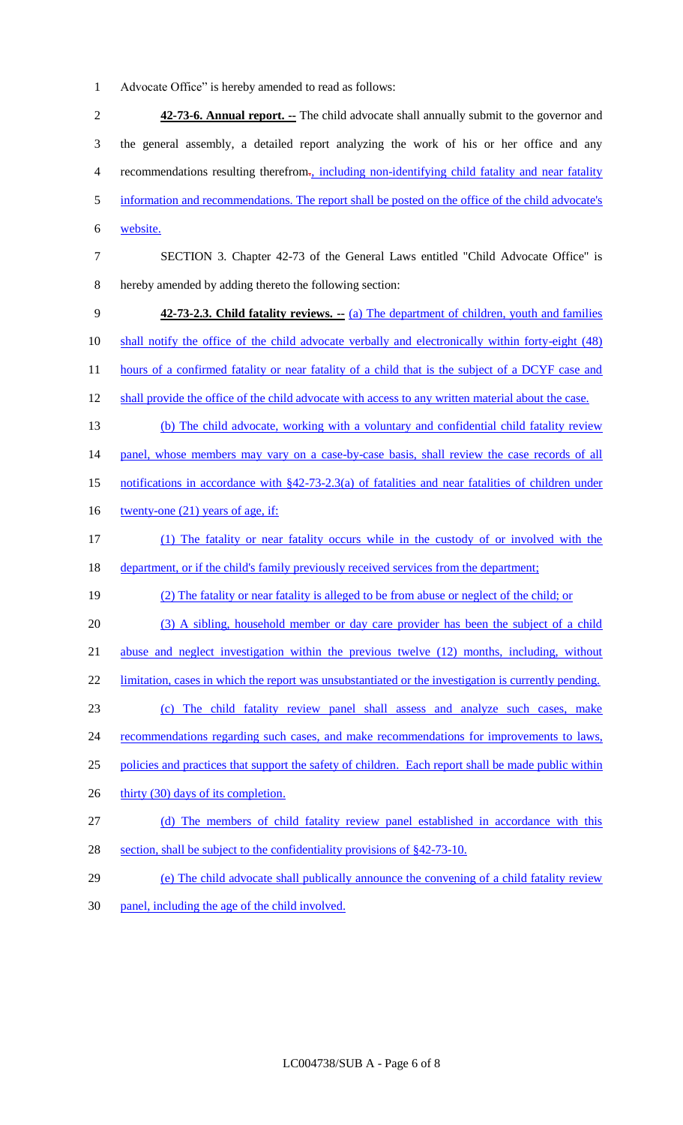1 Advocate Office" is hereby amended to read as follows:

2 **42-73-6. Annual report. --** The child advocate shall annually submit to the governor and 3 the general assembly, a detailed report analyzing the work of his or her office and any 4 recommendations resulting therefrom., including non-identifying child fatality and near fatality 5 information and recommendations. The report shall be posted on the office of the child advocate's 6 website.

- 7 SECTION 3. Chapter 42-73 of the General Laws entitled "Child Advocate Office" is 8 hereby amended by adding thereto the following section:
- 9 **42-73-2.3. Child fatality reviews.** -- (a) The department of children, youth and families 10 shall notify the office of the child advocate verbally and electronically within forty-eight (48) 11 hours of a confirmed fatality or near fatality of a child that is the subject of a DCYF case and
- 12 shall provide the office of the child advocate with access to any written material about the case.
- 13 (b) The child advocate, working with a voluntary and confidential child fatality review 14 panel, whose members may vary on a case-by-case basis, shall review the case records of all 15 notifications in accordance with §42-73-2.3(a) of fatalities and near fatalities of children under
- 16 twenty-one (21) years of age, if:
- 17 (1) The fatality or near fatality occurs while in the custody of or involved with the 18 department, or if the child's family previously received services from the department;
- 19 (2) The fatality or near fatality is alleged to be from abuse or neglect of the child; or
- 20 (3) A sibling, household member or day care provider has been the subject of a child
- 21 abuse and neglect investigation within the previous twelve (12) months, including, without
- 22 limitation, cases in which the report was unsubstantiated or the investigation is currently pending.
- 23 (c) The child fatality review panel shall assess and analyze such cases, make
- 24 recommendations regarding such cases, and make recommendations for improvements to laws,
- 25 policies and practices that support the safety of children. Each report shall be made public within
- 26 thirty (30) days of its completion.
- 27 (d) The members of child fatality review panel established in accordance with this
- 28 section, shall be subject to the confidentiality provisions of §42-73-10.
- 29 (e) The child advocate shall publically announce the convening of a child fatality review
- 30 panel, including the age of the child involved.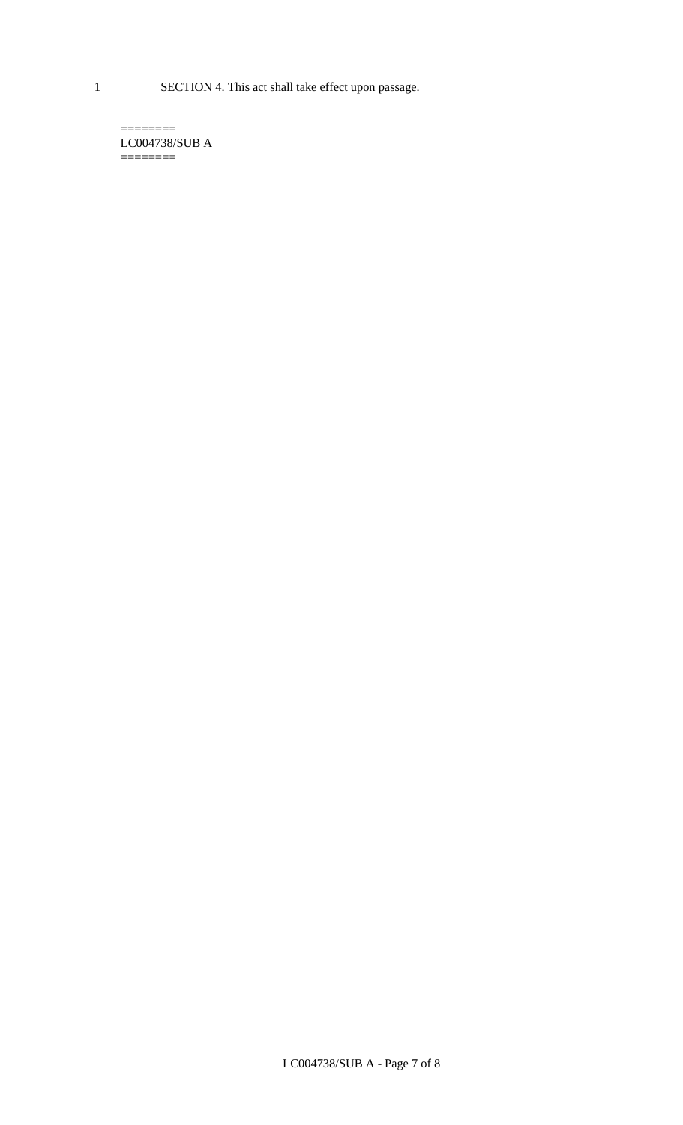1 SECTION 4. This act shall take effect upon passage.

 $=$ LC004738/SUB A  $=$